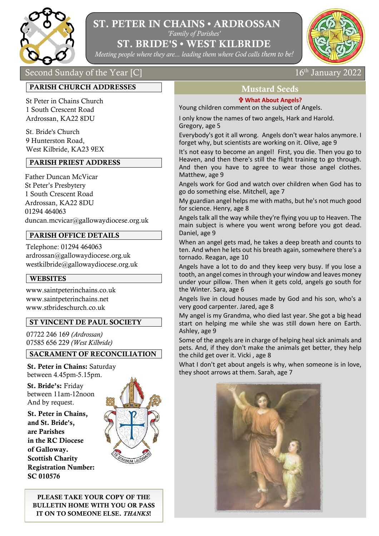

# ST. PETER IN CHAINS • ARDROSSAN

*'Family of Parishes'*

ST. BRIDE'S • WEST KILBRIDE

*Meeting people where they are... leading them where God calls them to be!* 



# Second Sunday of the Year [C]  $16^{th}$  January 2022

# PARISH CHURCH ADDRESSES

St Peter in Chains Church 1 South Crescent Road Ardrossan, KA22 8DU

St. Bride's Church 9 Hunterston Road, West Kilbride, KA23 9EX

#### PARISH PRIEST ADDRESS

Father Duncan McVicar St Peter's Presbytery 1 South Crescent Road Ardrossan, KA22 8DU 01294 464063 duncan.mcvicar@gallowaydiocese.org.uk

### PARISH OFFICE DETAILS

Telephone: 01294 464063 [ardrossan@gallowaydiocese.org.uk](mailto:ardrossan@gallowaydiocese.org.uk) [westkilbride@gallowaydiocese.org.uk](mailto:westkilbride@gallowaydiocese.org.uk)

### WEBSITES

www.saintpeterinchains.co.uk www.saintpeterinchains.net [www.stbrideschurch.co.uk](http://www.stbrideschurch.co.uk/)

### ST VINCENT DE PAUL SOCIETY

07722 246 169 *(Ardrossan)* 07585 656 229 *(West Kilbride)*

### SACRAMENT OF RECONCILIATION

St. Peter in Chains: Saturday between 4.45pm-5.15pm.

St. Bride's: Friday between 11am-12noon And by request.

St. Peter in Chains, and St. Bride's, are Parishes in the RC Diocese of Galloway. Scottish Charity Registration Number: SC 010576



PLEASE TAKE YOUR COPY OF THE BULLETIN HOME WITH YOU OR PASS IT ON TO SOMEONE ELSE. *THANKS*!

# Mustard Seeds

#### **What About Angels?**

Young children comment on the subject of Angels.

I only know the names of two angels, Hark and Harold. Gregory, age 5

Everybody's got it all wrong. Angels don't wear halos anymore. I forget why, but scientists are working on it. Olive, age 9

It's not easy to become an angel! First, you die. Then you go to Heaven, and then there's still the flight training to go through. And then you have to agree to wear those angel clothes. Matthew, age 9

Angels work for God and watch over children when God has to go do something else. Mitchell, age 7

My guardian angel helps me with maths, but he's not much good for science. Henry, age 8

Angels talk all the way while they're flying you up to Heaven. The main subject is where you went wrong before you got dead. Daniel, age 9

When an angel gets mad, he takes a deep breath and counts to ten. And when he lets out his breath again, somewhere there's a tornado. Reagan, age 10

Angels have a lot to do and they keep very busy. If you lose a tooth, an angel comes in through your window and leaves money under your pillow. Then when it gets cold, angels go south for the Winter. Sara, age 6

Angels live in cloud houses made by God and his son, who's a very good carpenter. Jared, age 8

My angel is my Grandma, who died last year. She got a big head start on helping me while she was still down here on Earth. Ashley, age 9

Some of the angels are in charge of helping heal sick animals and pets. And, if they don't make the animals get better, they help the child get over it. Vicki , age 8

What I don't get about angels is why, when someone is in love, they shoot arrows at them. Sarah, age 7

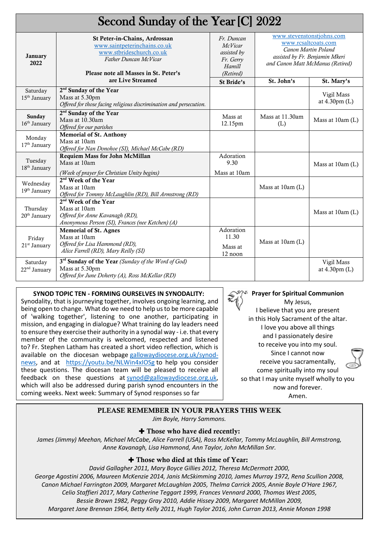| Second Sunday of the Year [C] 2022   |                                                                                                                                                             |                                                                                 |                                                                                                                                               |                                       |
|--------------------------------------|-------------------------------------------------------------------------------------------------------------------------------------------------------------|---------------------------------------------------------------------------------|-----------------------------------------------------------------------------------------------------------------------------------------------|---------------------------------------|
| <b>January</b><br>2022               | St Peter-in-Chains, Ardrossan<br>www.saintpeterinchains.co.uk<br>www.stbrideschurch.co.uk<br>Father Duncan McVicar<br>Please note all Masses in St. Peter's | Fr. Duncan<br><b>McVicar</b><br>assisted by<br>Fr. Gerry<br>Hamill<br>(Retired) | www.stevenstonstjohns.com<br>www.rcsaltcoats.com<br>Canon Martin Poland<br>assisted by Fr. Benjamin Mkeri<br>and Canon Matt McManus (Retired) |                                       |
|                                      | are Live Streamed                                                                                                                                           | St Bride's                                                                      | St. John's                                                                                                                                    | St. Mary's                            |
| Saturday<br>15 <sup>th</sup> January | 2 <sup>nd</sup> Sunday of the Year<br>Mass at 5.30pm<br>Offered for those facing religious discrimination and persecution.                                  |                                                                                 |                                                                                                                                               | Vigil Mass<br>at $4.30 \text{pm}$ (L) |
| Sunday<br>16 <sup>th</sup> January   | 2 <sup>nd</sup> Sunday of the Year<br>Mass at 10.30am<br>Offered for our parishes                                                                           | Mass at<br>12.15pm                                                              | Mass at 11.30am<br>(L)                                                                                                                        | Mass at 10am (L)                      |
| Monday<br>17 <sup>th</sup> January   | <b>Memorial of St. Anthony</b><br>Mass at 10am<br>Offered for Nan Donohoe (SI), Michael McCabe (RD)                                                         |                                                                                 |                                                                                                                                               |                                       |
| Tuesday<br>18 <sup>th</sup> January  | Requiem Mass for John McMillan<br>Mass at 10am<br>(Week of prayer for Christian Unity begins)                                                               | Adoration<br>9.30<br>Mass at 10am                                               |                                                                                                                                               | Mass at 10am (L)                      |
| Wednesday<br>19th January            | 2 <sup>nd</sup> Week of the Year<br>Mass at 10am<br>Offered for Tommy McLaughlin (RD), Bill Armstrong (RD)                                                  |                                                                                 | Mass at 10am (L)                                                                                                                              |                                       |
| Thursday<br>20 <sup>th</sup> January | 2 <sup>nd</sup> Week of the Year<br>Mass at 10am<br>Offered for Anne Kavanagh (RD),<br>Anonymous Person (SI), Frances (nee Ketchen) (A)                     |                                                                                 |                                                                                                                                               | Mass at 10am (L)                      |
| Friday<br>21 <sup>st</sup> January   | <b>Memorial of St. Agnes</b><br>Mass at 10am<br>Offered for Lisa Hammond (RD),<br>Alice Farrell (RD), Mary Reilly (SI)                                      | Adoration<br>11.30<br>Mass at<br>12 noon                                        | Mass at 10am (L)                                                                                                                              |                                       |
| Saturday<br>22 <sup>nd</sup> January | 3 <sup>rd</sup> Sunday of the Year (Sunday of the Word of God)<br>Mass at 5.30pm<br>Offered for June Doherty (A), Ross McKellar (RD)                        |                                                                                 |                                                                                                                                               | Vigil Mass<br>at $4.30 \text{pm}$ (L) |

## **SYNOD TOPIC TEN - FORMING OURSELVES IN SYNODALITY:**

Synodality, that is journeying together, involves ongoing learning, and being open to change. What do we need to help us to be more capable of 'walking together', listening to one another, participating in mission, and engaging in dialogue? What training do lay leaders need to ensure they exercise their authority in a synodal way - i.e. that every member of the community is welcomed, respected and listened to? Fr. Stephen Latham has created a short video reflection, which is available on the diocesan webpage [gallowaydiocese.org.uk/synod](http://gallowaydiocese.org.uk/synod-news)[news,](http://gallowaydiocese.org.uk/synod-news) and at <https://youtu.be/NLWin4xIOSg> to help you consider these questions. The diocesan team will be pleased to receive all feedback on these questions at [synod@gallowaydiocese.org.uk,](mailto:synod@gallowaydiocese.org.uk) which will also be addressed during parish synod encounters in the coming weeks. Next week: Summary of Synod responses so far

My Jesus, I believe that you are present in this Holy Sacrament of the altar. I love you above all things and I passionately desire to receive you into my soul. Since I cannot now receive you sacramentally, come spiritually into my soul so that I may unite myself wholly to you now and forever. Amen.

**Prayer for Spiritual Communion**

#### PLEASE REMEMBER IN YOUR PRAYERS THIS WEEK

*Jim Boyle, Harry Sammons.*

#### ✚ Those who have died recently:

*James (Jimmy) Meehan, Michael McCabe, Alice Farrell (USA), Ross McKellar, Tommy McLaughlin, Bill Armstrong, Anne Kavanagh, Lisa Hammond, Ann Taylor, John McMillan Snr.*

#### ✚ Those who died at this time of Year:

*David Gallagher 2011, Mary Boyce Gillies 2012, Theresa McDermott 2000, George Agostini 2006, Maureen McKenzie 2014, Janis McSkimming 2010, James Murray 1972, Rena Scullion 2008, Canon Michael Farrington 2009, Margaret McLaughlan 2005, Thelma Carrick 2005, Annie Boyle O'Hare 1967, Celio Staffieri 2017, Mary Catherine Teggart 1999, Frances Vennard 2000, Thomas West 2005, Bessie Brown 1982, Peggy Gray 2010, [Addie Hissey](file://///192.168.0.13/Public/Data%20Z/George/Home/Websites/SaintPeterInChains.net/Profiles/HisseyAddie.htm) 2009, Margaret McMillan 2009, Margaret Jane Brennan 1964, Betty Kelly 2011, Hugh Taylor 2016, John Curran 2013, Annie Monan 1998*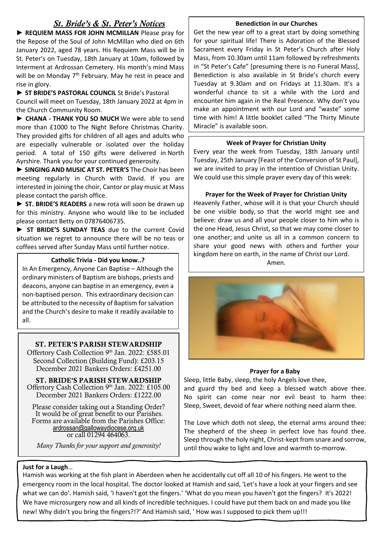# *St. Bride's & St. Peter's Notices*

► **REQUIEM MASS FOR JOHN MCMILLAN** Please pray for the Repose of the Soul of John McMillan who died on 6th January 2022, aged 78 years. His Requiem Mass will be in St. Peter's on Tuesday, 18th January at 10am, followed by Interment at Ardrossan Cemetery. His month's mind Mass will be on Monday  $7<sup>th</sup>$  February. May he rest in peace and rise in glory.

**► ST BRIDE'S PASTORAL COUNCIL** St Bride's Pastoral Council will meet on Tuesday, 18th January 2022 at 4pm in the Church Community Room.

► **CHANA - THANK YOU SO MUCH** We were able to send more than £1000 to The Night Before Christmas Charity. They provided gifts for children of all ages and adults who are especially vulnerable or isolated over the holiday period. A total of 150 gifts were delivered in North Ayrshire. Thank you for your continued generosity.

**► SINGING AND MUSIC AT ST. PETER'S** The Choir has been meeting regularly in Church with David. If you are interested in joining the choir, Cantor or play music at Mass please contact the parish office.

**► ST. BRIDE'S READERS** a new rota will soon be drawn up for this ministry. Anyone who would like to be included please contact Betty on 07876406735.

**► ST BRIDE'S SUNDAY TEAS** due to the current Covid situation we regret to announce there will be no teas or coffees served after Sunday Mass until further notice.

#### Amen. **Catholic Trivia - Did you know..?**

In An Emergency, Anyone Can Baptise – Although the ordinary ministers of Baptism are bishops, priests and deacons, anyone can baptise in an emergency, even a non-baptised person. This extraordinary decision can be attributed to the necessity of Baptism for salvation and the Church's desire to make it readily available to all.

#### ST. PETER'S PARISH STEWARDSHIP

Offertory Cash Collection 9th Jan. 2022: £585.01 Second Collection (Building Fund): £203.15 December 2021 Bankers Orders: £4251.00

ST. BRIDE'S PARISH STEWARDSHIP Offertory Cash Collection 9th Jan. 2022: £105.00 December 2021 Bankers Orders: £1222.00

Please consider taking out a Standing Order? It would be of great benefit to our Parishes. Forms are available from the Parishes Office: [ardrossan@gallowaydiocese.org.uk](mailto:ardrossan@gallowaydiocese.org.uk) or call 01294 464063.

*Many Thanks for your support and generosity!*

#### **Benediction in our Churches**

Get the new year off to a great start by doing something for your spiritual life! There is Adoration of the Blessed Sacrament every Friday in St Peter's Church after Holy Mass, from 10.30am until 11am followed by refreshments in "St Peter's Cafe" [presuming there is no Funeral Mass]. Benediction is also available in St Bride's church every Tuesday at 9.30am and on Fridays at 11.30am. It's a wonderful chance to sit a while with the Lord and encounter him again in the Real Presence. Why don't you make an appointment with our Lord and "waste" some time with him! A little booklet called "The Thirty Minute Miracle" is available soon.

#### **Week of Prayer for Christian Unity**

Every year the week from Tuesday, 18th January until Tuesday, 25th January [Feast of the Conversion of St Paul], we are invited to pray in the intention of Christian Unity. We could use this simple prayer every day of this week:

#### **Prayer for the Week of Prayer for Christian Unity**

Heavenly Father, whose will it is that your Church should be one visible body, so that the world might see and believe: draw us and all your people closer to him who is the one Head, Jesus Christ, so that we may come closer to one another; and unite us all in a common concern to share your good news with others and further your kingdom here on earth, in the name of Christ our Lord.



#### **Prayer for a Baby**

Sleep, little Baby, sleep, the holy Angels love thee, and guard thy bed and keep a blessed watch above thee. No spirit can come near nor evil beast to harm thee: Sleep, Sweet, devoid of fear where nothing need alarm thee.

The Love which doth not sleep, the eternal arms around thee: The shepherd of the sheep in perfect love has found thee. Sleep through the holy night, Christ-kept from snare and sorrow, until thou wake to light and love and warmth to-morrow.

#### **Just for a Laugh**…

Hamish was working at the fish plant in Aberdeen when he accidentally cut off all 10 of his fingers. He went to the emergency room in the local hospital. The doctor looked at Hamish and said, 'Let's have a look at your fingers and see what we can do'. Hamish said, 'I haven't got the fingers.' 'What do you mean you haven't got the fingers? It's 2022! We have microsurgery now and all kinds of incredible techniques. I could have put them back on and made you like new! Why didn't you bring the fingers?!?' And Hamish said, ' How was I supposed to pick them up!!!